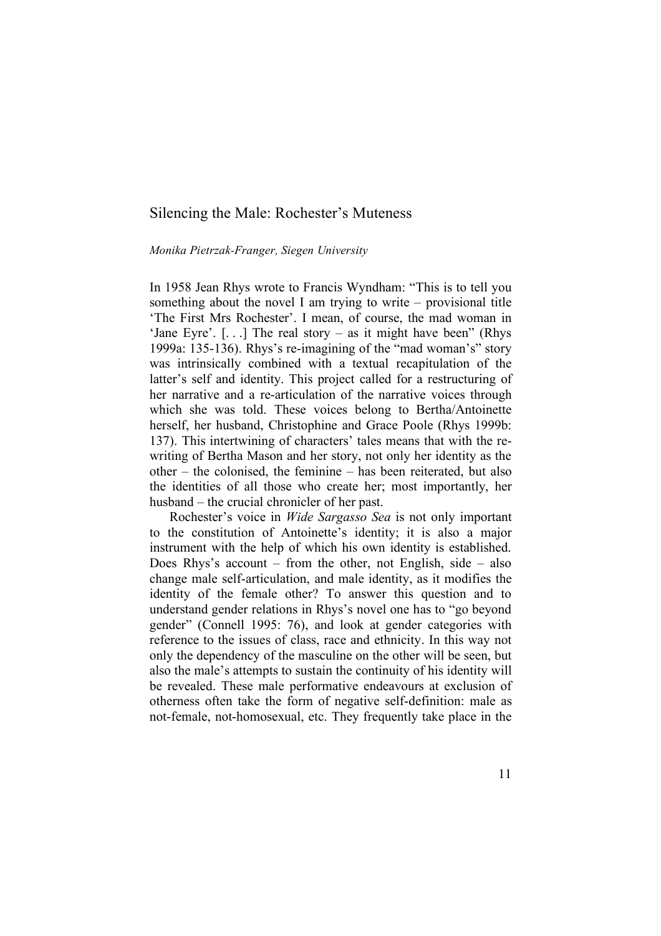# Silencing the Male: Rochester's Muteness

## *Monika Pietrzak-Franger, Siegen University*

In 1958 Jean Rhys wrote to Francis Wyndham: "This is to tell you something about the novel I am trying to write – provisional title 'The First Mrs Rochester'. I mean, of course, the mad woman in 'Jane Eyre'. [. . .] The real story – as it might have been" (Rhys 1999a: 135-136). Rhys's re-imagining of the "mad woman's" story was intrinsically combined with a textual recapitulation of the latter's self and identity. This project called for a restructuring of her narrative and a re-articulation of the narrative voices through which she was told. These voices belong to Bertha/Antoinette herself, her husband, Christophine and Grace Poole (Rhys 1999b: 137). This intertwining of characters' tales means that with the rewriting of Bertha Mason and her story, not only her identity as the other – the colonised, the feminine – has been reiterated, but also the identities of all those who create her; most importantly, her husband – the crucial chronicler of her past.

Rochester's voice in *Wide Sargasso Sea* is not only important to the constitution of Antoinette's identity; it is also a major instrument with the help of which his own identity is established. Does Rhys's account – from the other, not English, side – also change male self-articulation, and male identity, as it modifies the identity of the female other? To answer this question and to understand gender relations in Rhys's novel one has to "go beyond gender" (Connell 1995: 76), and look at gender categories with reference to the issues of class, race and ethnicity. In this way not only the dependency of the masculine on the other will be seen, but also the male's attempts to sustain the continuity of his identity will be revealed. These male performative endeavours at exclusion of otherness often take the form of negative self-definition: male as not-female, not-homosexual, etc. They frequently take place in the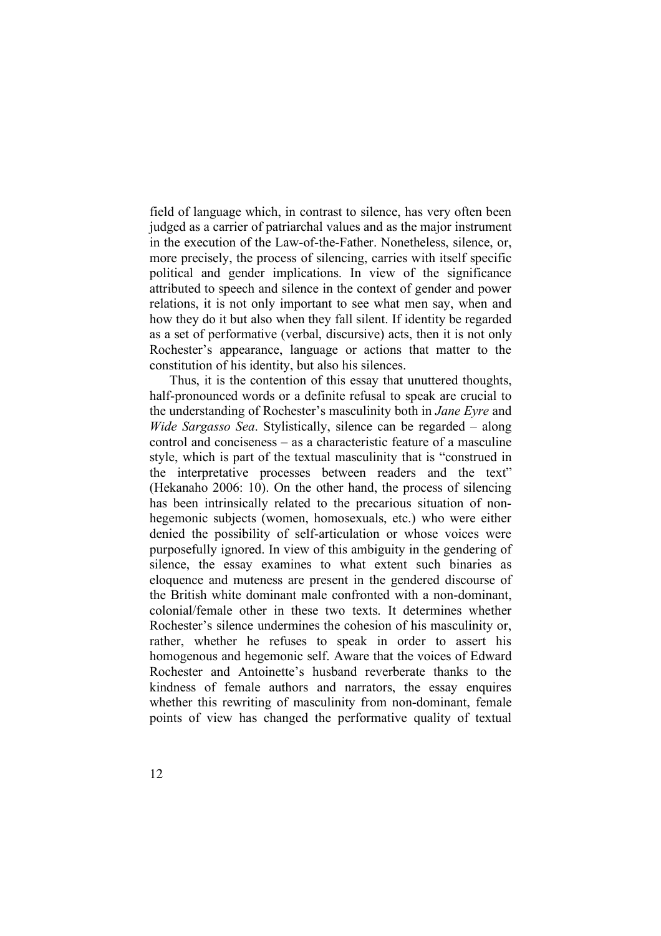field of language which, in contrast to silence, has very often been judged as a carrier of patriarchal values and as the major instrument in the execution of the Law-of-the-Father. Nonetheless, silence, or, more precisely, the process of silencing, carries with itself specific political and gender implications. In view of the significance attributed to speech and silence in the context of gender and power relations, it is not only important to see what men say, when and how they do it but also when they fall silent. If identity be regarded as a set of performative (verbal, discursive) acts, then it is not only Rochester's appearance, language or actions that matter to the constitution of his identity, but also his silences.

Thus, it is the contention of this essay that unuttered thoughts, half-pronounced words or a definite refusal to speak are crucial to the understanding of Rochester's masculinity both in *Jane Eyre* and *Wide Sargasso Sea*. Stylistically, silence can be regarded – along control and conciseness – as a characteristic feature of a masculine style, which is part of the textual masculinity that is "construed in the interpretative processes between readers and the text" (Hekanaho 2006: 10). On the other hand, the process of silencing has been intrinsically related to the precarious situation of nonhegemonic subjects (women, homosexuals, etc.) who were either denied the possibility of self-articulation or whose voices were purposefully ignored. In view of this ambiguity in the gendering of silence, the essay examines to what extent such binaries as eloquence and muteness are present in the gendered discourse of the British white dominant male confronted with a non-dominant, colonial/female other in these two texts. It determines whether Rochester's silence undermines the cohesion of his masculinity or, rather, whether he refuses to speak in order to assert his homogenous and hegemonic self. Aware that the voices of Edward Rochester and Antoinette's husband reverberate thanks to the kindness of female authors and narrators, the essay enquires whether this rewriting of masculinity from non-dominant, female points of view has changed the performative quality of textual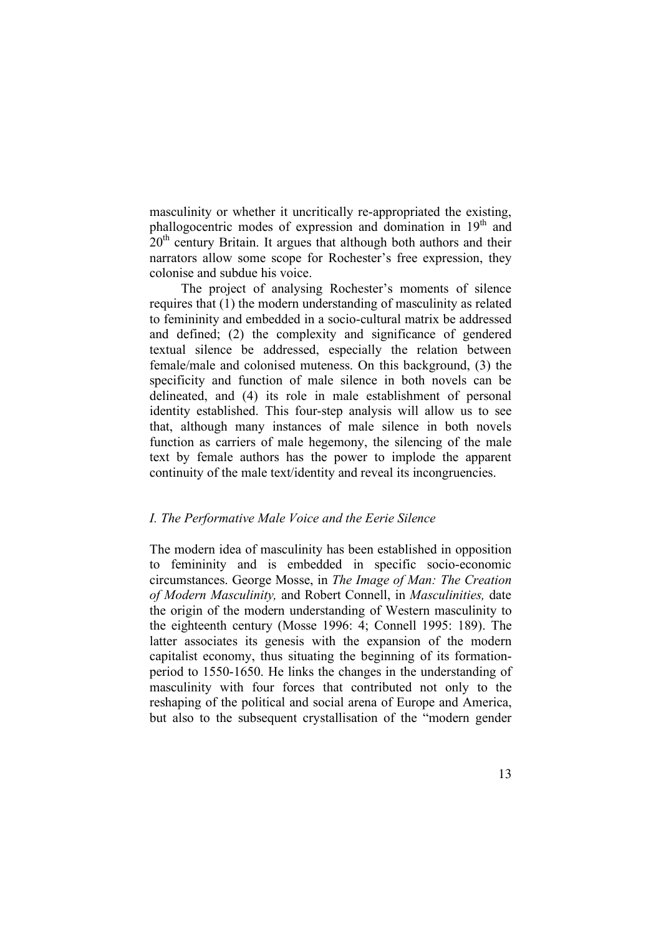masculinity or whether it uncritically re-appropriated the existing, phallogocentric modes of expression and domination in 19<sup>th</sup> and  $20<sup>th</sup>$  century Britain. It argues that although both authors and their narrators allow some scope for Rochester's free expression, they colonise and subdue his voice.

The project of analysing Rochester's moments of silence requires that (1) the modern understanding of masculinity as related to femininity and embedded in a socio-cultural matrix be addressed and defined; (2) the complexity and significance of gendered textual silence be addressed, especially the relation between female/male and colonised muteness. On this background, (3) the specificity and function of male silence in both novels can be delineated, and (4) its role in male establishment of personal identity established. This four-step analysis will allow us to see that, although many instances of male silence in both novels function as carriers of male hegemony, the silencing of the male text by female authors has the power to implode the apparent continuity of the male text/identity and reveal its incongruencies.

## *I. The Performative Male Voice and the Eerie Silence*

The modern idea of masculinity has been established in opposition to femininity and is embedded in specific socio-economic circumstances. George Mosse, in *The Image of Man: The Creation of Modern Masculinity,* and Robert Connell, in *Masculinities,* date the origin of the modern understanding of Western masculinity to the eighteenth century (Mosse 1996: 4; Connell 1995: 189). The latter associates its genesis with the expansion of the modern capitalist economy, thus situating the beginning of its formationperiod to 1550-1650. He links the changes in the understanding of masculinity with four forces that contributed not only to the reshaping of the political and social arena of Europe and America, but also to the subsequent crystallisation of the "modern gender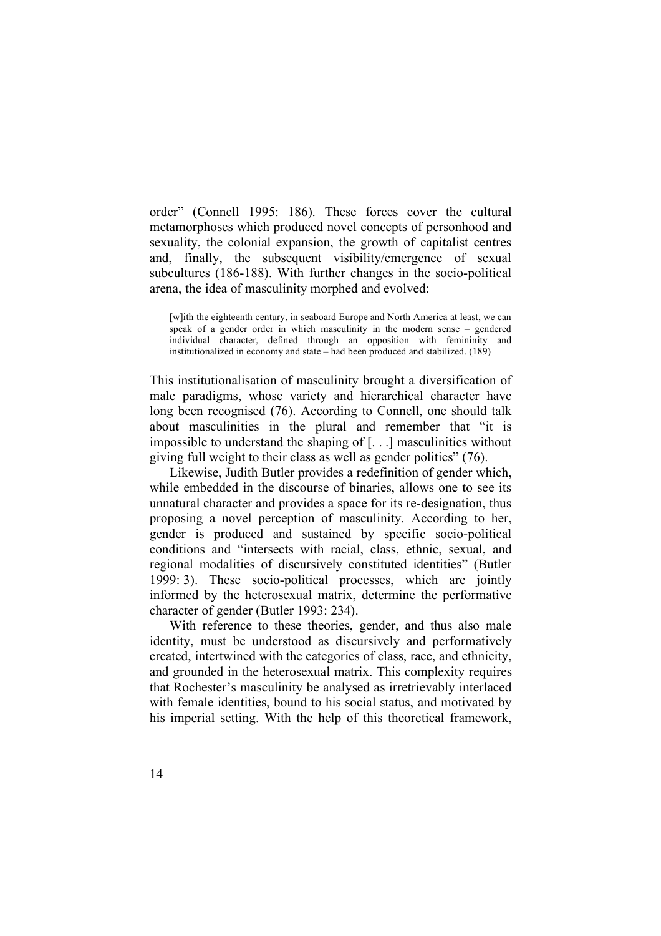order" (Connell 1995: 186). These forces cover the cultural metamorphoses which produced novel concepts of personhood and sexuality, the colonial expansion, the growth of capitalist centres and, finally, the subsequent visibility/emergence of sexual subcultures (186-188). With further changes in the socio-political arena, the idea of masculinity morphed and evolved:

[w]ith the eighteenth century, in seaboard Europe and North America at least, we can speak of a gender order in which masculinity in the modern sense – gendered individual character, defined through an opposition with femininity and institutionalized in economy and state – had been produced and stabilized. (189)

This institutionalisation of masculinity brought a diversification of male paradigms, whose variety and hierarchical character have long been recognised (76). According to Connell, one should talk about masculinities in the plural and remember that "it is impossible to understand the shaping of [. . .] masculinities without giving full weight to their class as well as gender politics" (76).

Likewise, Judith Butler provides a redefinition of gender which, while embedded in the discourse of binaries, allows one to see its unnatural character and provides a space for its re-designation, thus proposing a novel perception of masculinity. According to her, gender is produced and sustained by specific socio-political conditions and "intersects with racial, class, ethnic, sexual, and regional modalities of discursively constituted identities" (Butler 1999: 3). These socio-political processes, which are jointly informed by the heterosexual matrix, determine the performative character of gender (Butler 1993: 234).

With reference to these theories, gender, and thus also male identity, must be understood as discursively and performatively created, intertwined with the categories of class, race, and ethnicity, and grounded in the heterosexual matrix. This complexity requires that Rochester's masculinity be analysed as irretrievably interlaced with female identities, bound to his social status, and motivated by his imperial setting. With the help of this theoretical framework,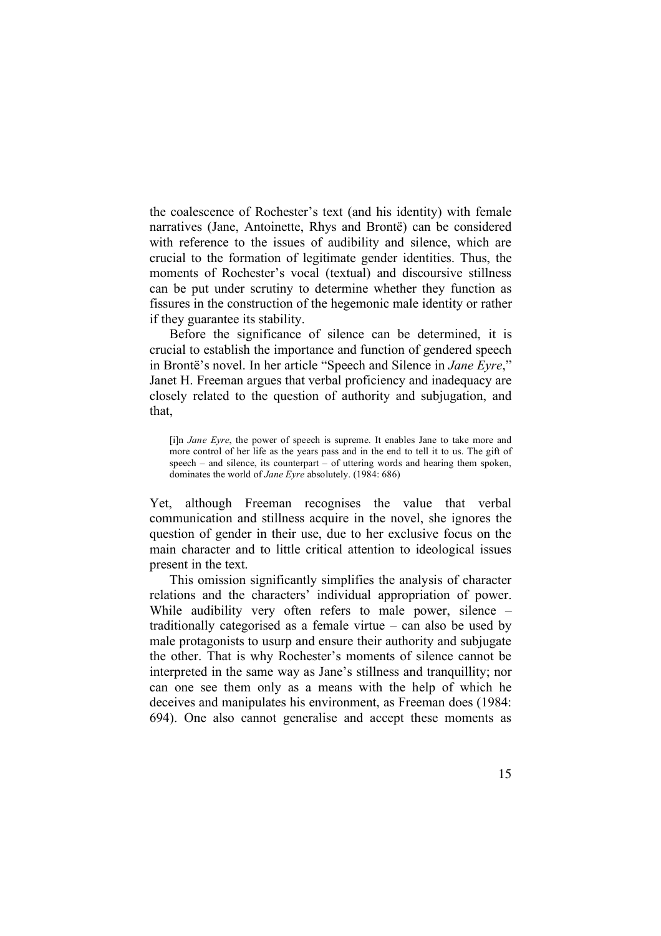the coalescence of Rochester's text (and his identity) with female narratives (Jane, Antoinette, Rhys and Brontë) can be considered with reference to the issues of audibility and silence, which are crucial to the formation of legitimate gender identities. Thus, the moments of Rochester's vocal (textual) and discoursive stillness can be put under scrutiny to determine whether they function as fissures in the construction of the hegemonic male identity or rather if they guarantee its stability.

Before the significance of silence can be determined, it is crucial to establish the importance and function of gendered speech in Brontë's novel. In her article "Speech and Silence in *Jane Eyre*," Janet H. Freeman argues that verbal proficiency and inadequacy are closely related to the question of authority and subjugation, and that,

[i]n *Jane Eyre*, the power of speech is supreme. It enables Jane to take more and more control of her life as the years pass and in the end to tell it to us. The gift of speech – and silence, its counterpart – of uttering words and hearing them spoken, dominates the world of *Jane Eyre* absolutely. (1984: 686)

Yet, although Freeman recognises the value that verbal communication and stillness acquire in the novel, she ignores the question of gender in their use, due to her exclusive focus on the main character and to little critical attention to ideological issues present in the text.

This omission significantly simplifies the analysis of character relations and the characters' individual appropriation of power. While audibility very often refers to male power, silence – traditionally categorised as a female virtue – can also be used by male protagonists to usurp and ensure their authority and subjugate the other. That is why Rochester's moments of silence cannot be interpreted in the same way as Jane's stillness and tranquillity; nor can one see them only as a means with the help of which he deceives and manipulates his environment, as Freeman does (1984: 694). One also cannot generalise and accept these moments as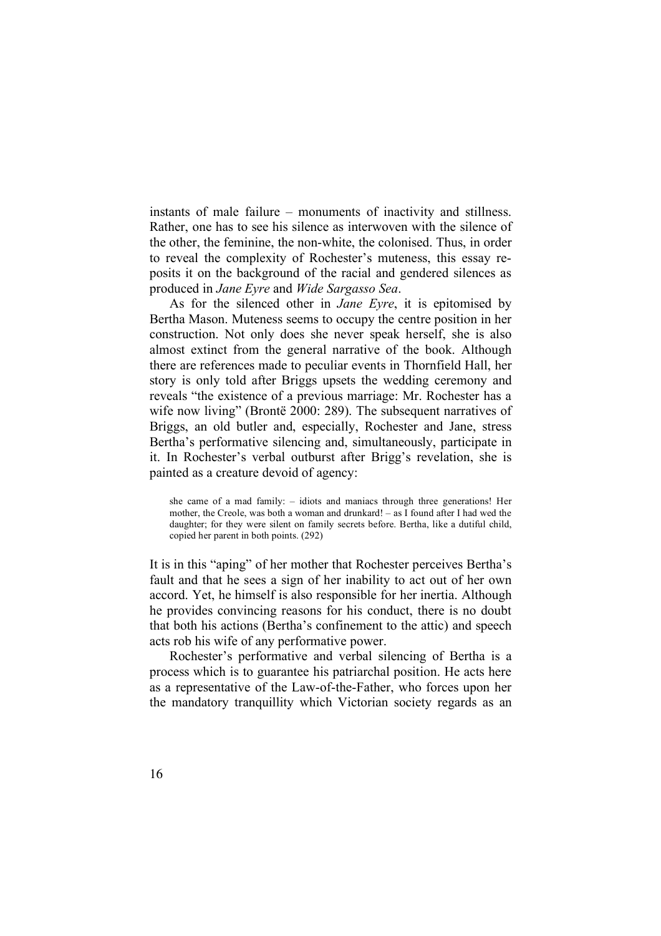instants of male failure – monuments of inactivity and stillness. Rather, one has to see his silence as interwoven with the silence of the other, the feminine, the non-white, the colonised. Thus, in order to reveal the complexity of Rochester's muteness, this essay reposits it on the background of the racial and gendered silences as produced in *Jane Eyre* and *Wide Sargasso Sea*.

As for the silenced other in *Jane Eyre*, it is epitomised by Bertha Mason. Muteness seems to occupy the centre position in her construction. Not only does she never speak herself, she is also almost extinct from the general narrative of the book. Although there are references made to peculiar events in Thornfield Hall, her story is only told after Briggs upsets the wedding ceremony and reveals "the existence of a previous marriage: Mr. Rochester has a wife now living" (Brontë 2000: 289). The subsequent narratives of Briggs, an old butler and, especially, Rochester and Jane, stress Bertha's performative silencing and, simultaneously, participate in it. In Rochester's verbal outburst after Brigg's revelation, she is painted as a creature devoid of agency:

she came of a mad family: – idiots and maniacs through three generations! Her mother, the Creole, was both a woman and drunkard! – as I found after I had wed the daughter; for they were silent on family secrets before. Bertha, like a dutiful child, copied her parent in both points. (292)

It is in this "aping" of her mother that Rochester perceives Bertha's fault and that he sees a sign of her inability to act out of her own accord. Yet, he himself is also responsible for her inertia. Although he provides convincing reasons for his conduct, there is no doubt that both his actions (Bertha's confinement to the attic) and speech acts rob his wife of any performative power.

Rochester's performative and verbal silencing of Bertha is a process which is to guarantee his patriarchal position. He acts here as a representative of the Law-of-the-Father, who forces upon her the mandatory tranquillity which Victorian society regards as an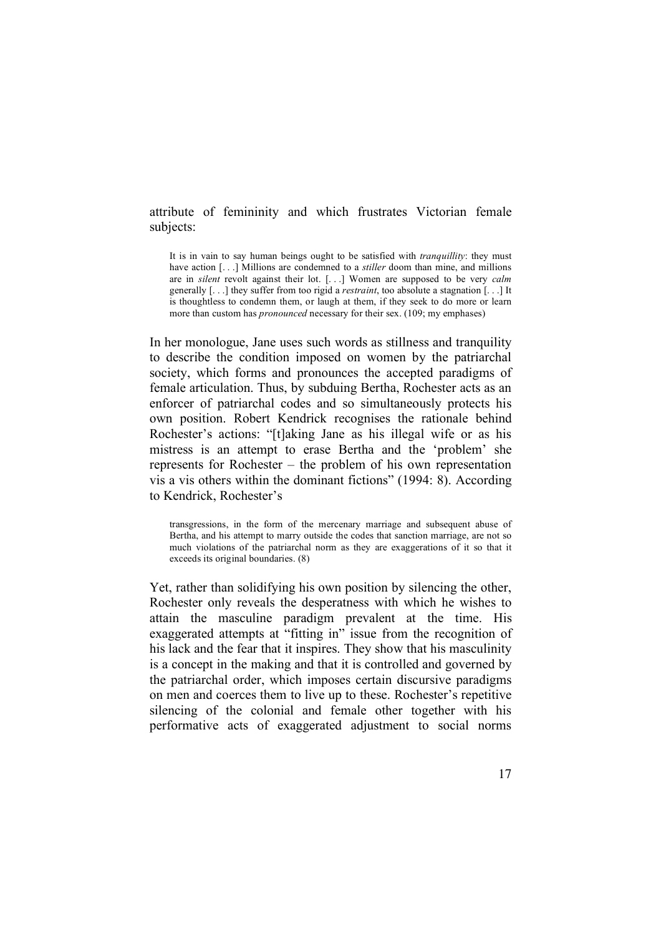## attribute of femininity and which frustrates Victorian female subjects:

It is in vain to say human beings ought to be satisfied with *tranquillity*: they must have action [...] Millions are condemned to a *stiller* doom than mine, and millions are in *silent* revolt against their lot. [. . .] Women are supposed to be very *calm* generally [. . .] they suffer from too rigid a *restraint*, too absolute a stagnation [. . .] It is thoughtless to condemn them, or laugh at them, if they seek to do more or learn more than custom has *pronounced* necessary for their sex. (109; my emphases)

In her monologue, Jane uses such words as stillness and tranquility to describe the condition imposed on women by the patriarchal society, which forms and pronounces the accepted paradigms of female articulation. Thus, by subduing Bertha, Rochester acts as an enforcer of patriarchal codes and so simultaneously protects his own position. Robert Kendrick recognises the rationale behind Rochester's actions: "[t]aking Jane as his illegal wife or as his mistress is an attempt to erase Bertha and the 'problem' she represents for Rochester – the problem of his own representation vis a vis others within the dominant fictions" (1994: 8). According to Kendrick, Rochester's

transgressions, in the form of the mercenary marriage and subsequent abuse of Bertha, and his attempt to marry outside the codes that sanction marriage, are not so much violations of the patriarchal norm as they are exaggerations of it so that it exceeds its original boundaries. (8)

Yet, rather than solidifying his own position by silencing the other, Rochester only reveals the desperatness with which he wishes to attain the masculine paradigm prevalent at the time. His exaggerated attempts at "fitting in" issue from the recognition of his lack and the fear that it inspires. They show that his masculinity is a concept in the making and that it is controlled and governed by the patriarchal order, which imposes certain discursive paradigms on men and coerces them to live up to these. Rochester's repetitive silencing of the colonial and female other together with his performative acts of exaggerated adjustment to social norms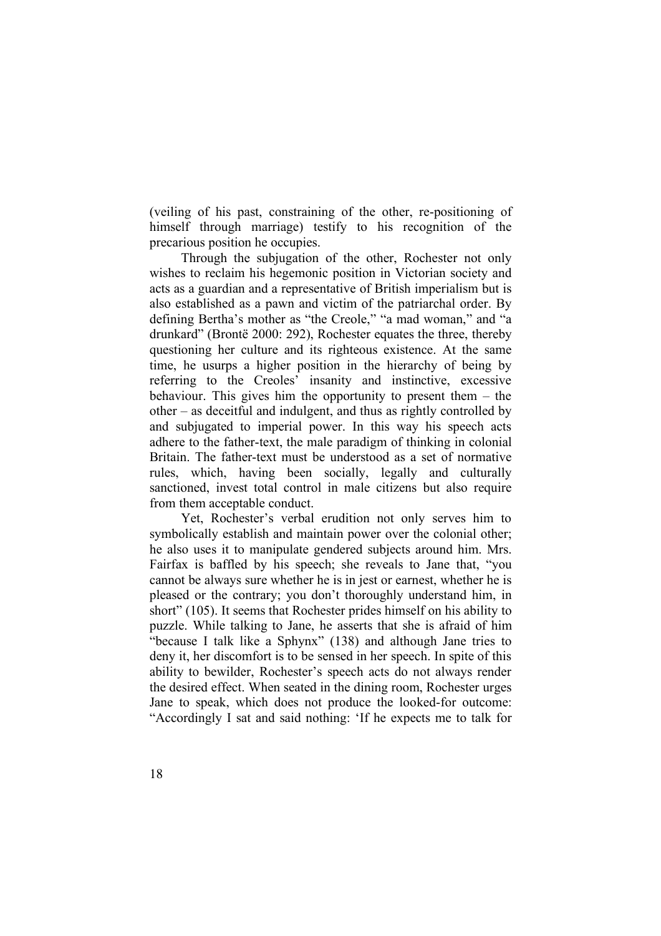(veiling of his past, constraining of the other, re-positioning of himself through marriage) testify to his recognition of the precarious position he occupies.

Through the subjugation of the other, Rochester not only wishes to reclaim his hegemonic position in Victorian society and acts as a guardian and a representative of British imperialism but is also established as a pawn and victim of the patriarchal order. By defining Bertha's mother as "the Creole," "a mad woman," and "a drunkard" (Brontë 2000: 292), Rochester equates the three, thereby questioning her culture and its righteous existence. At the same time, he usurps a higher position in the hierarchy of being by referring to the Creoles' insanity and instinctive, excessive behaviour. This gives him the opportunity to present them – the other – as deceitful and indulgent, and thus as rightly controlled by and subjugated to imperial power. In this way his speech acts adhere to the father-text, the male paradigm of thinking in colonial Britain. The father-text must be understood as a set of normative rules, which, having been socially, legally and culturally sanctioned, invest total control in male citizens but also require from them acceptable conduct.

Yet, Rochester's verbal erudition not only serves him to symbolically establish and maintain power over the colonial other; he also uses it to manipulate gendered subjects around him. Mrs. Fairfax is baffled by his speech; she reveals to Jane that, "you cannot be always sure whether he is in jest or earnest, whether he is pleased or the contrary; you don't thoroughly understand him, in short" (105). It seems that Rochester prides himself on his ability to puzzle. While talking to Jane, he asserts that she is afraid of him "because I talk like a Sphynx" (138) and although Jane tries to deny it, her discomfort is to be sensed in her speech. In spite of this ability to bewilder, Rochester's speech acts do not always render the desired effect. When seated in the dining room, Rochester urges Jane to speak, which does not produce the looked-for outcome: "Accordingly I sat and said nothing: 'If he expects me to talk for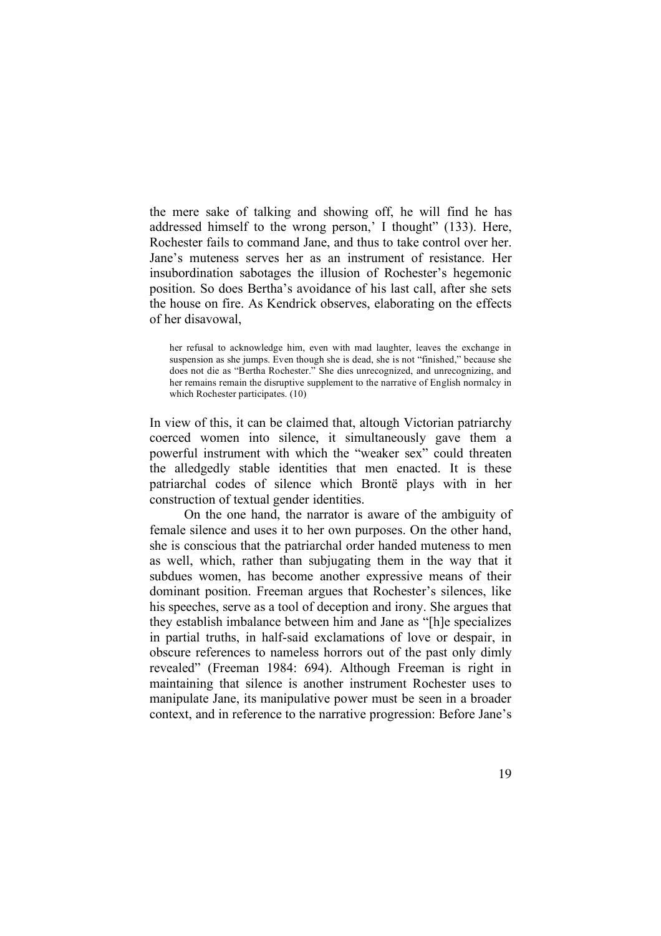the mere sake of talking and showing off, he will find he has addressed himself to the wrong person,' I thought" (133). Here, Rochester fails to command Jane, and thus to take control over her. Jane's muteness serves her as an instrument of resistance. Her insubordination sabotages the illusion of Rochester's hegemonic position. So does Bertha's avoidance of his last call, after she sets the house on fire. As Kendrick observes, elaborating on the effects of her disavowal,

her refusal to acknowledge him, even with mad laughter, leaves the exchange in suspension as she jumps. Even though she is dead, she is not "finished," because she does not die as "Bertha Rochester." She dies unrecognized, and unrecognizing, and her remains remain the disruptive supplement to the narrative of English normalcy in which Rochester participates. (10)

In view of this, it can be claimed that, altough Victorian patriarchy coerced women into silence, it simultaneously gave them a powerful instrument with which the "weaker sex" could threaten the alledgedly stable identities that men enacted. It is these patriarchal codes of silence which Brontë plays with in her construction of textual gender identities.

On the one hand, the narrator is aware of the ambiguity of female silence and uses it to her own purposes. On the other hand, she is conscious that the patriarchal order handed muteness to men as well, which, rather than subjugating them in the way that it subdues women, has become another expressive means of their dominant position. Freeman argues that Rochester's silences, like his speeches, serve as a tool of deception and irony. She argues that they establish imbalance between him and Jane as "[h]e specializes in partial truths, in half-said exclamations of love or despair, in obscure references to nameless horrors out of the past only dimly revealed" (Freeman 1984: 694). Although Freeman is right in maintaining that silence is another instrument Rochester uses to manipulate Jane, its manipulative power must be seen in a broader context, and in reference to the narrative progression: Before Jane's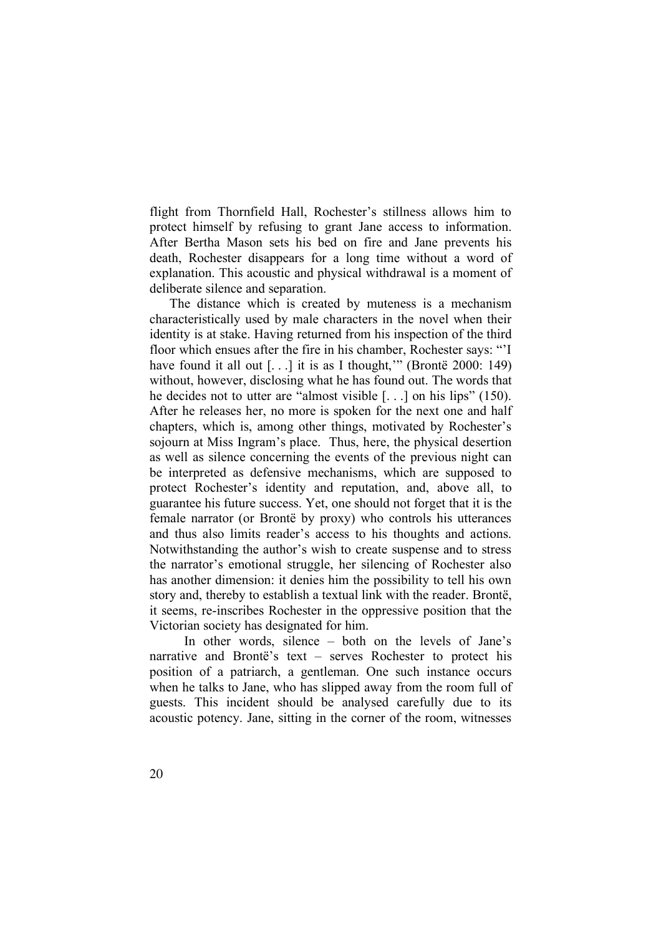flight from Thornfield Hall, Rochester's stillness allows him to protect himself by refusing to grant Jane access to information. After Bertha Mason sets his bed on fire and Jane prevents his death, Rochester disappears for a long time without a word of explanation. This acoustic and physical withdrawal is a moment of deliberate silence and separation.

The distance which is created by muteness is a mechanism characteristically used by male characters in the novel when their identity is at stake. Having returned from his inspection of the third floor which ensues after the fire in his chamber, Rochester says: "'I have found it all out  $[...]$  it is as I thought," (Brontë 2000: 149) without, however, disclosing what he has found out. The words that he decides not to utter are "almost visible [. . .] on his lips" (150). After he releases her, no more is spoken for the next one and half chapters, which is, among other things, motivated by Rochester's sojourn at Miss Ingram's place. Thus, here, the physical desertion as well as silence concerning the events of the previous night can be interpreted as defensive mechanisms, which are supposed to protect Rochester's identity and reputation, and, above all, to guarantee his future success. Yet, one should not forget that it is the female narrator (or Brontë by proxy) who controls his utterances and thus also limits reader's access to his thoughts and actions. Notwithstanding the author's wish to create suspense and to stress the narrator's emotional struggle, her silencing of Rochester also has another dimension: it denies him the possibility to tell his own story and, thereby to establish a textual link with the reader. Brontë, it seems, re-inscribes Rochester in the oppressive position that the Victorian society has designated for him.

In other words, silence – both on the levels of Jane's narrative and Brontë's text – serves Rochester to protect his position of a patriarch, a gentleman. One such instance occurs when he talks to Jane, who has slipped away from the room full of guests. This incident should be analysed carefully due to its acoustic potency. Jane, sitting in the corner of the room, witnesses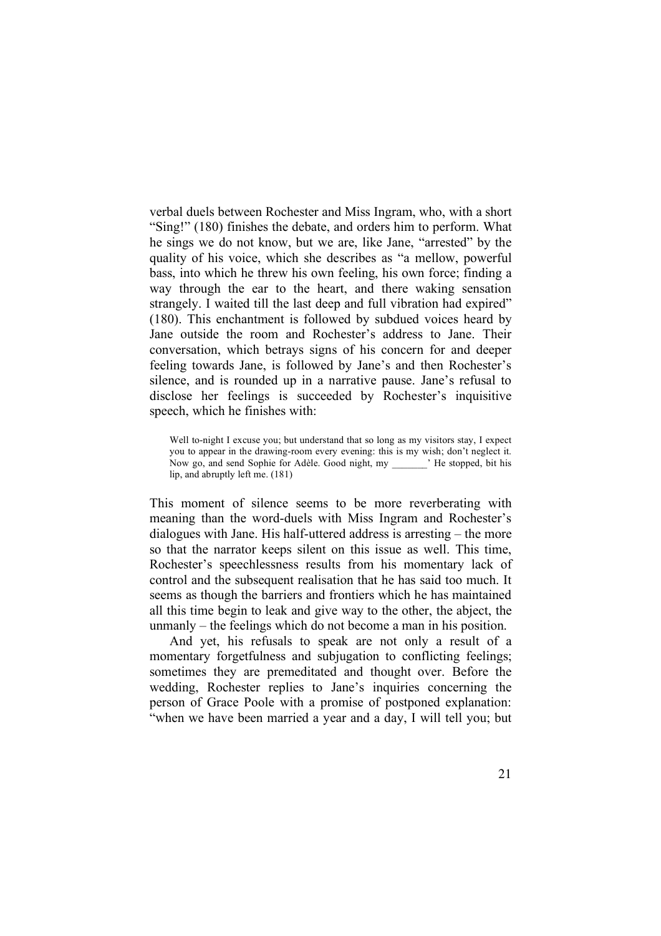verbal duels between Rochester and Miss Ingram, who, with a short "Sing!" (180) finishes the debate, and orders him to perform. What he sings we do not know, but we are, like Jane, "arrested" by the quality of his voice, which she describes as "a mellow, powerful bass, into which he threw his own feeling, his own force; finding a way through the ear to the heart, and there waking sensation strangely. I waited till the last deep and full vibration had expired" (180). This enchantment is followed by subdued voices heard by Jane outside the room and Rochester's address to Jane. Their conversation, which betrays signs of his concern for and deeper feeling towards Jane, is followed by Jane's and then Rochester's silence, and is rounded up in a narrative pause. Jane's refusal to disclose her feelings is succeeded by Rochester's inquisitive speech, which he finishes with:

This moment of silence seems to be more reverberating with meaning than the word-duels with Miss Ingram and Rochester's dialogues with Jane. His half-uttered address is arresting – the more so that the narrator keeps silent on this issue as well. This time, Rochester's speechlessness results from his momentary lack of control and the subsequent realisation that he has said too much. It seems as though the barriers and frontiers which he has maintained all this time begin to leak and give way to the other, the abject, the unmanly – the feelings which do not become a man in his position.

And yet, his refusals to speak are not only a result of a momentary forgetfulness and subjugation to conflicting feelings; sometimes they are premeditated and thought over. Before the wedding, Rochester replies to Jane's inquiries concerning the person of Grace Poole with a promise of postponed explanation: "when we have been married a year and a day, I will tell you; but

Well to-night I excuse you; but understand that so long as my visitors stay, I expect you to appear in the drawing-room every evening: this is my wish; don't neglect it. Now go, and send Sophie for Adèle. Good night, my \_\_\_\_\_\_\_' He stopped, bit his lip, and abruptly left me. (181)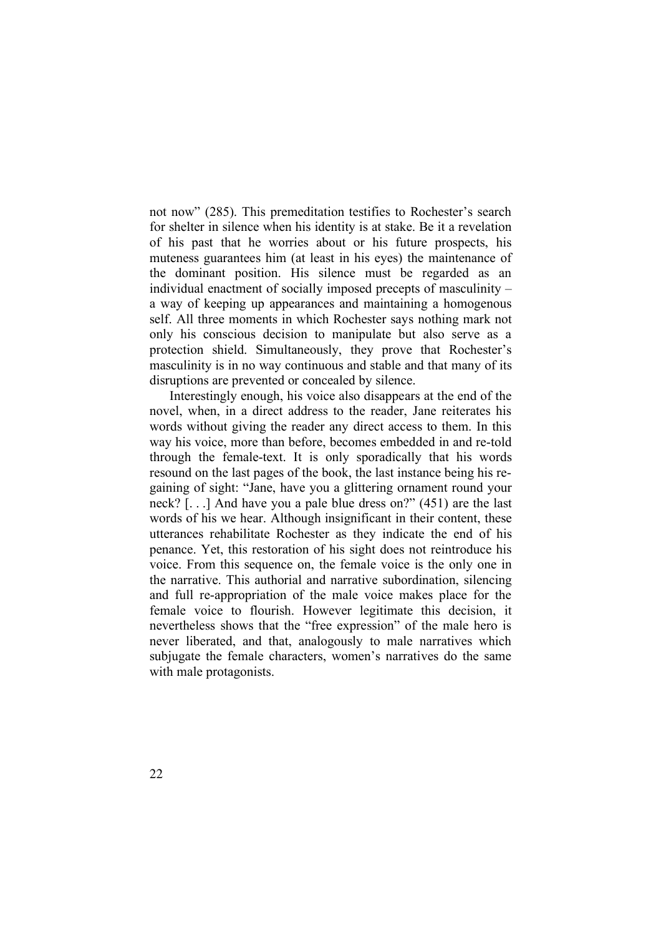not now" (285). This premeditation testifies to Rochester's search for shelter in silence when his identity is at stake. Be it a revelation of his past that he worries about or his future prospects, his muteness guarantees him (at least in his eyes) the maintenance of the dominant position. His silence must be regarded as an individual enactment of socially imposed precepts of masculinity – a way of keeping up appearances and maintaining a homogenous self. All three moments in which Rochester says nothing mark not only his conscious decision to manipulate but also serve as a protection shield. Simultaneously, they prove that Rochester's masculinity is in no way continuous and stable and that many of its disruptions are prevented or concealed by silence.

Interestingly enough, his voice also disappears at the end of the novel, when, in a direct address to the reader, Jane reiterates his words without giving the reader any direct access to them. In this way his voice, more than before, becomes embedded in and re-told through the female-text. It is only sporadically that his words resound on the last pages of the book, the last instance being his regaining of sight: "Jane, have you a glittering ornament round your neck? [. . .] And have you a pale blue dress on?" (451) are the last words of his we hear. Although insignificant in their content, these utterances rehabilitate Rochester as they indicate the end of his penance. Yet, this restoration of his sight does not reintroduce his voice. From this sequence on, the female voice is the only one in the narrative. This authorial and narrative subordination, silencing and full re-appropriation of the male voice makes place for the female voice to flourish. However legitimate this decision, it nevertheless shows that the "free expression" of the male hero is never liberated, and that, analogously to male narratives which subjugate the female characters, women's narratives do the same with male protagonists.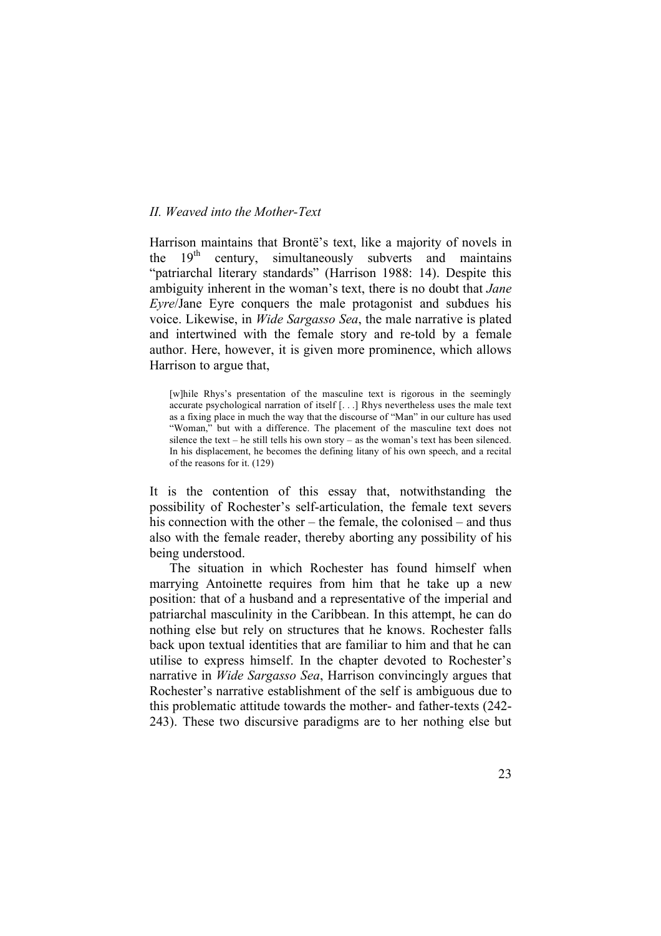## *II. Weaved into the Mother-Text*

Harrison maintains that Brontë's text, like a majority of novels in the  $19<sup>th</sup>$ century, simultaneously subverts and maintains "patriarchal literary standards" (Harrison 1988: 14). Despite this ambiguity inherent in the woman's text, there is no doubt that *Jane Eyre*/Jane Eyre conquers the male protagonist and subdues his voice. Likewise, in *Wide Sargasso Sea*, the male narrative is plated and intertwined with the female story and re-told by a female author. Here, however, it is given more prominence, which allows Harrison to argue that,

[w]hile Rhys's presentation of the masculine text is rigorous in the seemingly accurate psychological narration of itself [. . .] Rhys nevertheless uses the male text as a fixing place in much the way that the discourse of "Man" in our culture has used "Woman," but with a difference. The placement of the masculine text does not silence the text – he still tells his own story – as the woman's text has been silenced. In his displacement, he becomes the defining litany of his own speech, and a recital of the reasons for it. (129)

It is the contention of this essay that, notwithstanding the possibility of Rochester's self-articulation, the female text severs his connection with the other – the female, the colonised – and thus also with the female reader, thereby aborting any possibility of his being understood.

The situation in which Rochester has found himself when marrying Antoinette requires from him that he take up a new position: that of a husband and a representative of the imperial and patriarchal masculinity in the Caribbean. In this attempt, he can do nothing else but rely on structures that he knows. Rochester falls back upon textual identities that are familiar to him and that he can utilise to express himself. In the chapter devoted to Rochester's narrative in *Wide Sargasso Sea*, Harrison convincingly argues that Rochester's narrative establishment of the self is ambiguous due to this problematic attitude towards the mother- and father-texts (242- 243). These two discursive paradigms are to her nothing else but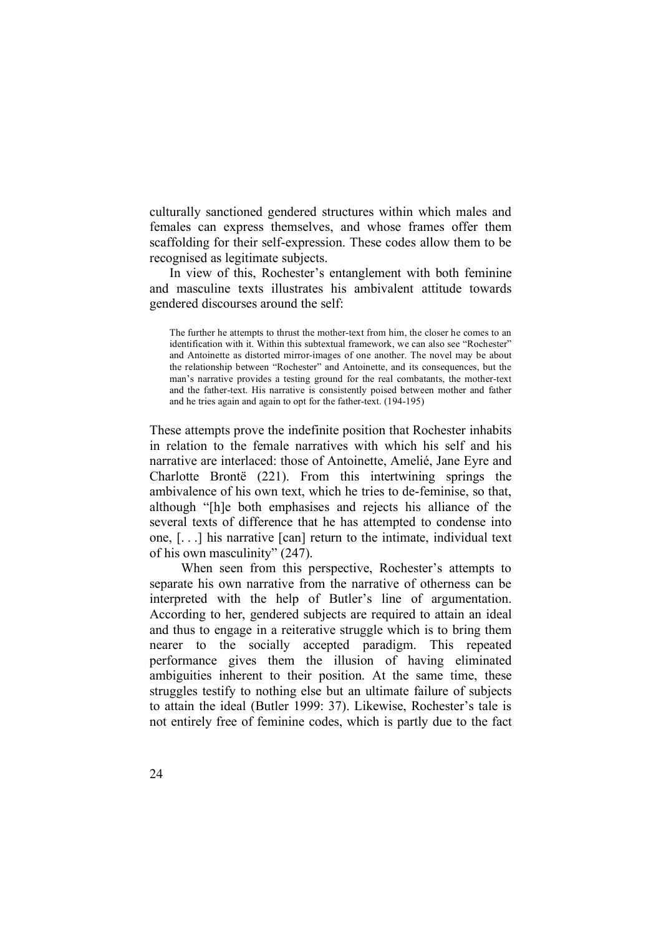culturally sanctioned gendered structures within which males and females can express themselves, and whose frames offer them scaffolding for their self-expression. These codes allow them to be recognised as legitimate subjects.

In view of this, Rochester's entanglement with both feminine and masculine texts illustrates his ambivalent attitude towards gendered discourses around the self:

The further he attempts to thrust the mother-text from him, the closer he comes to an identification with it. Within this subtextual framework, we can also see "Rochester" and Antoinette as distorted mirror-images of one another. The novel may be about the relationship between "Rochester" and Antoinette, and its consequences, but the man's narrative provides a testing ground for the real combatants, the mother-text and the father-text. His narrative is consistently poised between mother and father and he tries again and again to opt for the father-text. (194-195)

These attempts prove the indefinite position that Rochester inhabits in relation to the female narratives with which his self and his narrative are interlaced: those of Antoinette, Amelié, Jane Eyre and Charlotte Brontë (221). From this intertwining springs the ambivalence of his own text, which he tries to de-feminise, so that, although "[h]e both emphasises and rejects his alliance of the several texts of difference that he has attempted to condense into one, [. . .] his narrative [can] return to the intimate, individual text of his own masculinity" (247).

When seen from this perspective, Rochester's attempts to separate his own narrative from the narrative of otherness can be interpreted with the help of Butler's line of argumentation. According to her, gendered subjects are required to attain an ideal and thus to engage in a reiterative struggle which is to bring them nearer to the socially accepted paradigm. This repeated performance gives them the illusion of having eliminated ambiguities inherent to their position. At the same time, these struggles testify to nothing else but an ultimate failure of subjects to attain the ideal (Butler 1999: 37). Likewise, Rochester's tale is not entirely free of feminine codes, which is partly due to the fact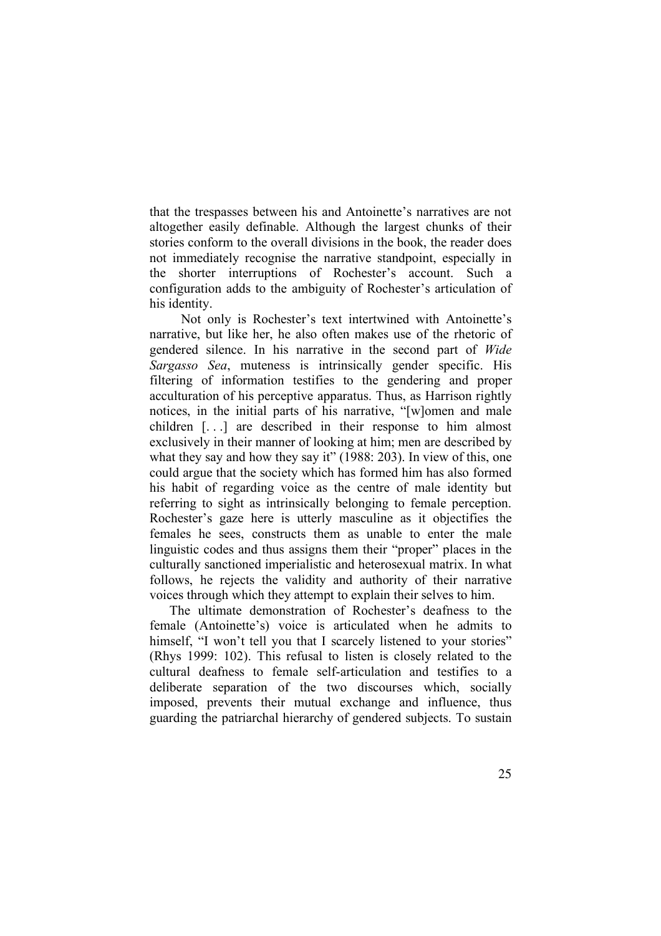that the trespasses between his and Antoinette's narratives are not altogether easily definable. Although the largest chunks of their stories conform to the overall divisions in the book, the reader does not immediately recognise the narrative standpoint, especially in the shorter interruptions of Rochester's account. Such a configuration adds to the ambiguity of Rochester's articulation of his identity.

Not only is Rochester's text intertwined with Antoinette's narrative, but like her, he also often makes use of the rhetoric of gendered silence. In his narrative in the second part of *Wide Sargasso Sea*, muteness is intrinsically gender specific. His filtering of information testifies to the gendering and proper acculturation of his perceptive apparatus. Thus, as Harrison rightly notices, in the initial parts of his narrative, "[w]omen and male children [. . .] are described in their response to him almost exclusively in their manner of looking at him; men are described by what they say and how they say it" (1988: 203). In view of this, one could argue that the society which has formed him has also formed his habit of regarding voice as the centre of male identity but referring to sight as intrinsically belonging to female perception. Rochester's gaze here is utterly masculine as it objectifies the females he sees, constructs them as unable to enter the male linguistic codes and thus assigns them their "proper" places in the culturally sanctioned imperialistic and heterosexual matrix. In what follows, he rejects the validity and authority of their narrative voices through which they attempt to explain their selves to him.

The ultimate demonstration of Rochester's deafness to the female (Antoinette's) voice is articulated when he admits to himself, "I won't tell you that I scarcely listened to your stories" (Rhys 1999: 102). This refusal to listen is closely related to the cultural deafness to female self-articulation and testifies to a deliberate separation of the two discourses which, socially imposed, prevents their mutual exchange and influence, thus guarding the patriarchal hierarchy of gendered subjects. To sustain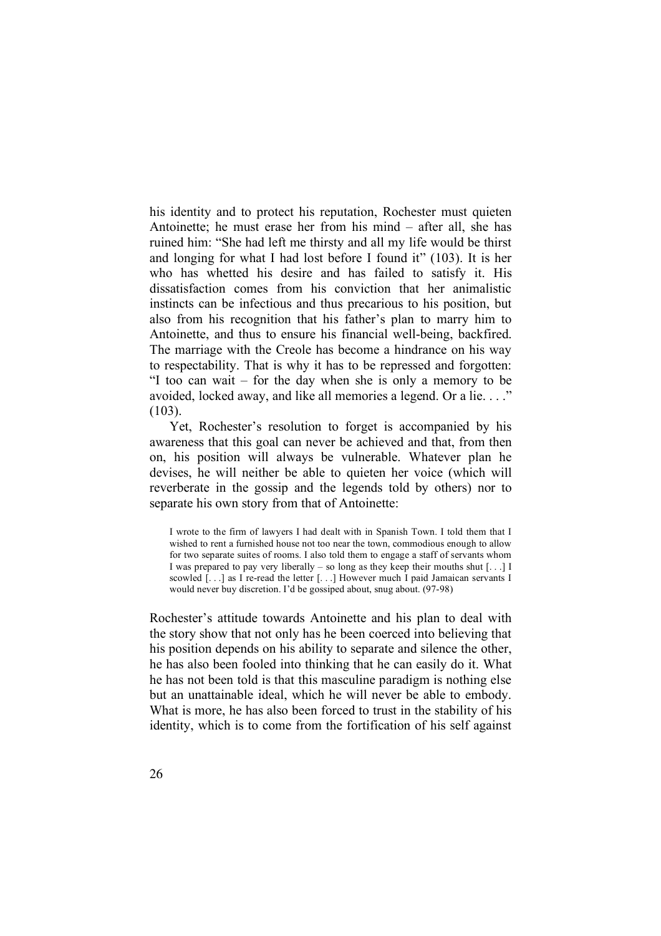his identity and to protect his reputation, Rochester must quieten Antoinette; he must erase her from his mind – after all, she has ruined him: "She had left me thirsty and all my life would be thirst and longing for what I had lost before I found it" (103). It is her who has whetted his desire and has failed to satisfy it. His dissatisfaction comes from his conviction that her animalistic instincts can be infectious and thus precarious to his position, but also from his recognition that his father's plan to marry him to Antoinette, and thus to ensure his financial well-being, backfired. The marriage with the Creole has become a hindrance on his way to respectability. That is why it has to be repressed and forgotten: "I too can wait – for the day when she is only a memory to be avoided, locked away, and like all memories a legend. Or a lie. . . ." (103).

Yet, Rochester's resolution to forget is accompanied by his awareness that this goal can never be achieved and that, from then on, his position will always be vulnerable. Whatever plan he devises, he will neither be able to quieten her voice (which will reverberate in the gossip and the legends told by others) nor to separate his own story from that of Antoinette:

I wrote to the firm of lawyers I had dealt with in Spanish Town. I told them that I wished to rent a furnished house not too near the town, commodious enough to allow for two separate suites of rooms. I also told them to engage a staff of servants whom I was prepared to pay very liberally – so long as they keep their mouths shut  $[\dots]$  I scowled [...] as I re-read the letter [...] However much I paid Jamaican servants I would never buy discretion. I'd be gossiped about, snug about. (97-98)

Rochester's attitude towards Antoinette and his plan to deal with the story show that not only has he been coerced into believing that his position depends on his ability to separate and silence the other, he has also been fooled into thinking that he can easily do it. What he has not been told is that this masculine paradigm is nothing else but an unattainable ideal, which he will never be able to embody. What is more, he has also been forced to trust in the stability of his identity, which is to come from the fortification of his self against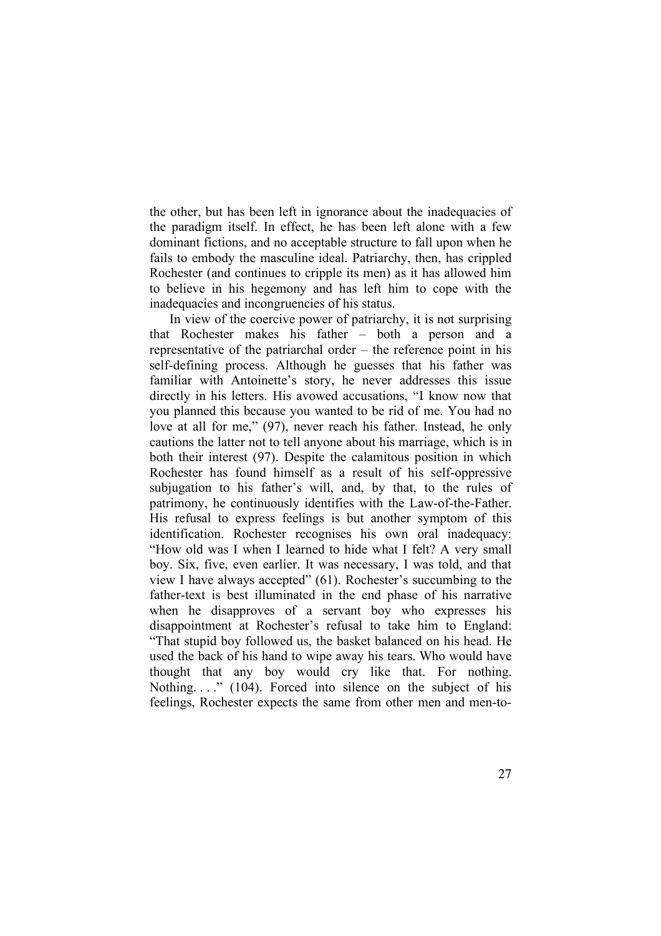the other, but has been left in ignorance about the inadequacies of the paradigm itself. In effect, he has been left alone with a few dominant fictions, and no acceptable structure to fall upon when he fails to embody the masculine ideal. Patriarchy, then, has crippled Rochester (and continues to cripple its men) as it has allowed him to believe in his hegemony and has left him to cope with the inadequacies and incongruencies of his status.

In view of the coercive power of patriarchy, it is not surprising that Rochester makes his father – both a person and a representative of the patriarchal order – the reference point in his self-defining process. Although he guesses that his father was familiar with Antoinette's story, he never addresses this issue directly in his letters. His avowed accusations, "I know now that you planned this because you wanted to be rid of me. You had no love at all for me," (97), never reach his father. Instead, he only cautions the latter not to tell anyone about his marriage, which is in both their interest (97). Despite the calamitous position in which Rochester has found himself as a result of his self-oppressive subjugation to his father's will, and, by that, to the rules of patrimony, he continuously identifies with the Law-of-the-Father. His refusal to express feelings is but another symptom of this identification. Rochester recognises his own oral inadequacy: "How old was I when I learned to hide what I felt? A very small boy. Six, five, even earlier. It was necessary, I was told, and that view I have always accepted" (61). Rochester's succumbing to the father-text is best illuminated in the end phase of his narrative when he disapproves of a servant boy who expresses his disappointment at Rochester's refusal to take him to England: "That stupid boy followed us, the basket balanced on his head. He used the back of his hand to wipe away his tears. Who would have thought that any boy would cry like that. For nothing. Nothing...." (104). Forced into silence on the subject of his feelings, Rochester expects the same from other men and men-to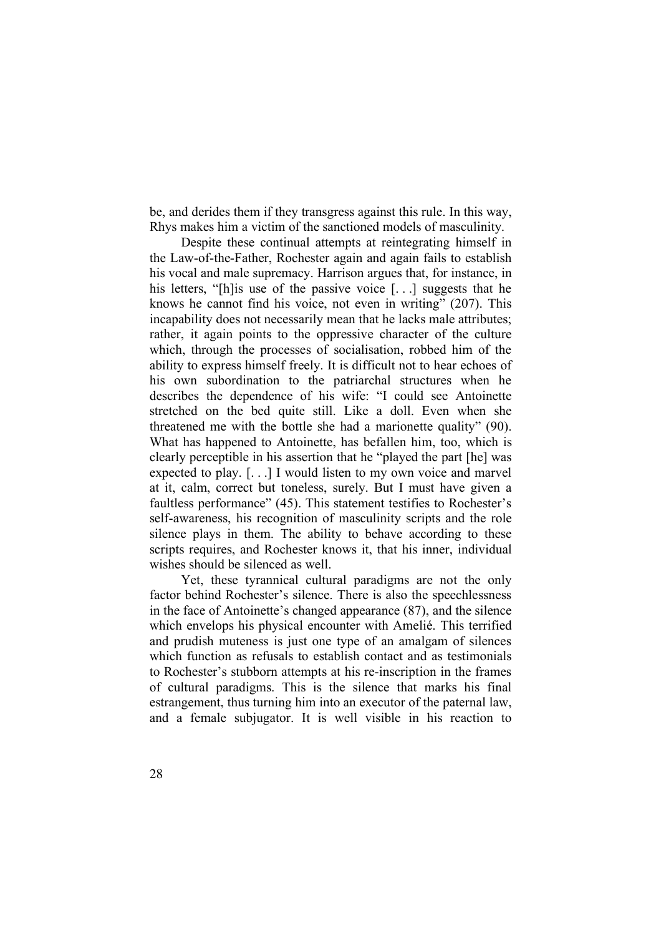be, and derides them if they transgress against this rule. In this way, Rhys makes him a victim of the sanctioned models of masculinity.

Despite these continual attempts at reintegrating himself in the Law-of-the-Father, Rochester again and again fails to establish his vocal and male supremacy. Harrison argues that, for instance, in his letters, "[h] is use of the passive voice [...] suggests that he knows he cannot find his voice, not even in writing" (207). This incapability does not necessarily mean that he lacks male attributes; rather, it again points to the oppressive character of the culture which, through the processes of socialisation, robbed him of the ability to express himself freely. It is difficult not to hear echoes of his own subordination to the patriarchal structures when he describes the dependence of his wife: "I could see Antoinette stretched on the bed quite still. Like a doll. Even when she threatened me with the bottle she had a marionette quality" (90). What has happened to Antoinette, has befallen him, too, which is clearly perceptible in his assertion that he "played the part [he] was expected to play. [. . .] I would listen to my own voice and marvel at it, calm, correct but toneless, surely. But I must have given a faultless performance" (45). This statement testifies to Rochester's self-awareness, his recognition of masculinity scripts and the role silence plays in them. The ability to behave according to these scripts requires, and Rochester knows it, that his inner, individual wishes should be silenced as well.

Yet, these tyrannical cultural paradigms are not the only factor behind Rochester's silence. There is also the speechlessness in the face of Antoinette's changed appearance (87), and the silence which envelops his physical encounter with Amelié. This terrified and prudish muteness is just one type of an amalgam of silences which function as refusals to establish contact and as testimonials to Rochester's stubborn attempts at his re-inscription in the frames of cultural paradigms. This is the silence that marks his final estrangement, thus turning him into an executor of the paternal law, and a female subjugator. It is well visible in his reaction to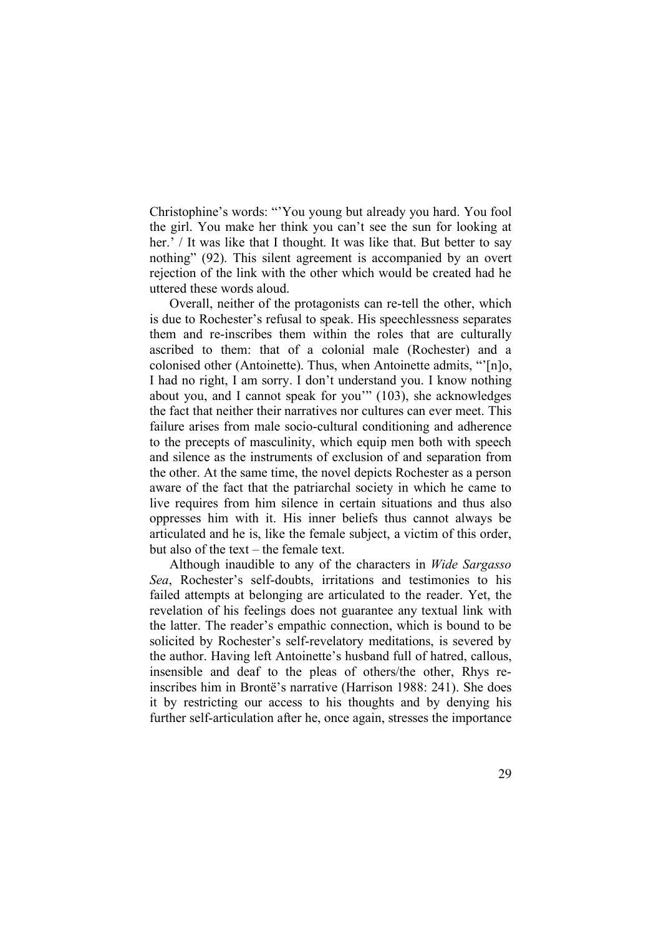Christophine's words: "'You young but already you hard. You fool the girl. You make her think you can't see the sun for looking at her.' / It was like that I thought. It was like that. But better to say nothing" (92). This silent agreement is accompanied by an overt rejection of the link with the other which would be created had he uttered these words aloud.

Overall, neither of the protagonists can re-tell the other, which is due to Rochester's refusal to speak. His speechlessness separates them and re-inscribes them within the roles that are culturally ascribed to them: that of a colonial male (Rochester) and a colonised other (Antoinette). Thus, when Antoinette admits, "'[n]o, I had no right, I am sorry. I don't understand you. I know nothing about you, and I cannot speak for you'" (103), she acknowledges the fact that neither their narratives nor cultures can ever meet. This failure arises from male socio-cultural conditioning and adherence to the precepts of masculinity, which equip men both with speech and silence as the instruments of exclusion of and separation from the other. At the same time, the novel depicts Rochester as a person aware of the fact that the patriarchal society in which he came to live requires from him silence in certain situations and thus also oppresses him with it. His inner beliefs thus cannot always be articulated and he is, like the female subject, a victim of this order, but also of the text – the female text.

Although inaudible to any of the characters in *Wide Sargasso Sea*, Rochester's self-doubts, irritations and testimonies to his failed attempts at belonging are articulated to the reader. Yet, the revelation of his feelings does not guarantee any textual link with the latter. The reader's empathic connection, which is bound to be solicited by Rochester's self-revelatory meditations, is severed by the author. Having left Antoinette's husband full of hatred, callous, insensible and deaf to the pleas of others/the other, Rhys reinscribes him in Brontë's narrative (Harrison 1988: 241). She does it by restricting our access to his thoughts and by denying his further self-articulation after he, once again, stresses the importance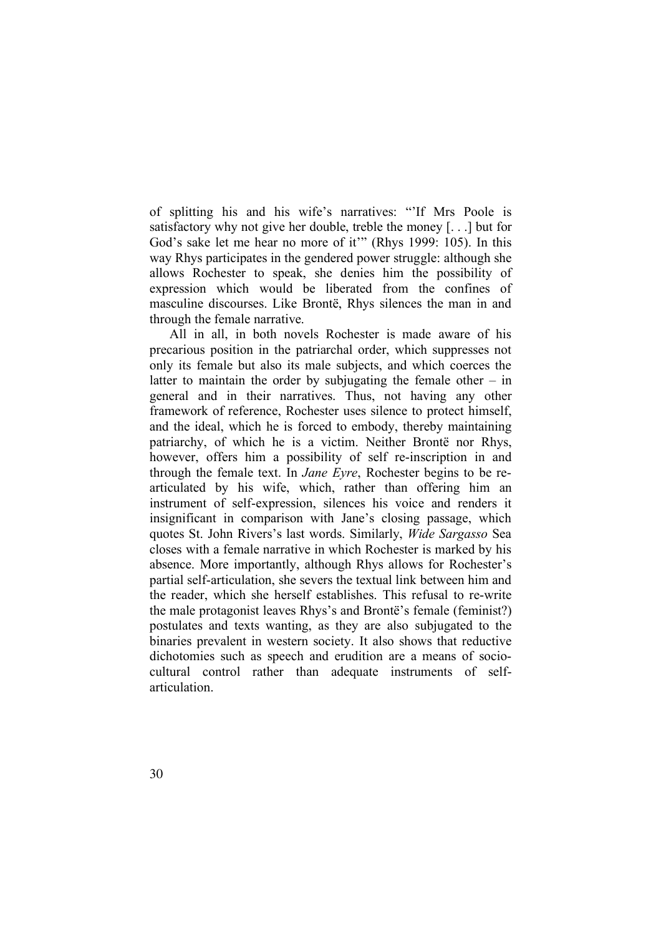of splitting his and his wife's narratives: "'If Mrs Poole is satisfactory why not give her double, treble the money [. . .] but for God's sake let me hear no more of it'" (Rhys 1999: 105). In this way Rhys participates in the gendered power struggle: although she allows Rochester to speak, she denies him the possibility of expression which would be liberated from the confines of masculine discourses. Like Brontë, Rhys silences the man in and through the female narrative.

All in all, in both novels Rochester is made aware of his precarious position in the patriarchal order, which suppresses not only its female but also its male subjects, and which coerces the latter to maintain the order by subjugating the female other  $-$  in general and in their narratives. Thus, not having any other framework of reference, Rochester uses silence to protect himself, and the ideal, which he is forced to embody, thereby maintaining patriarchy, of which he is a victim. Neither Brontë nor Rhys, however, offers him a possibility of self re-inscription in and through the female text. In *Jane Eyre*, Rochester begins to be rearticulated by his wife, which, rather than offering him an instrument of self-expression, silences his voice and renders it insignificant in comparison with Jane's closing passage, which quotes St. John Rivers's last words. Similarly, *Wide Sargasso* Sea closes with a female narrative in which Rochester is marked by his absence. More importantly, although Rhys allows for Rochester's partial self-articulation, she severs the textual link between him and the reader, which she herself establishes. This refusal to re-write the male protagonist leaves Rhys's and Brontë's female (feminist?) postulates and texts wanting, as they are also subjugated to the binaries prevalent in western society. It also shows that reductive dichotomies such as speech and erudition are a means of sociocultural control rather than adequate instruments of selfarticulation.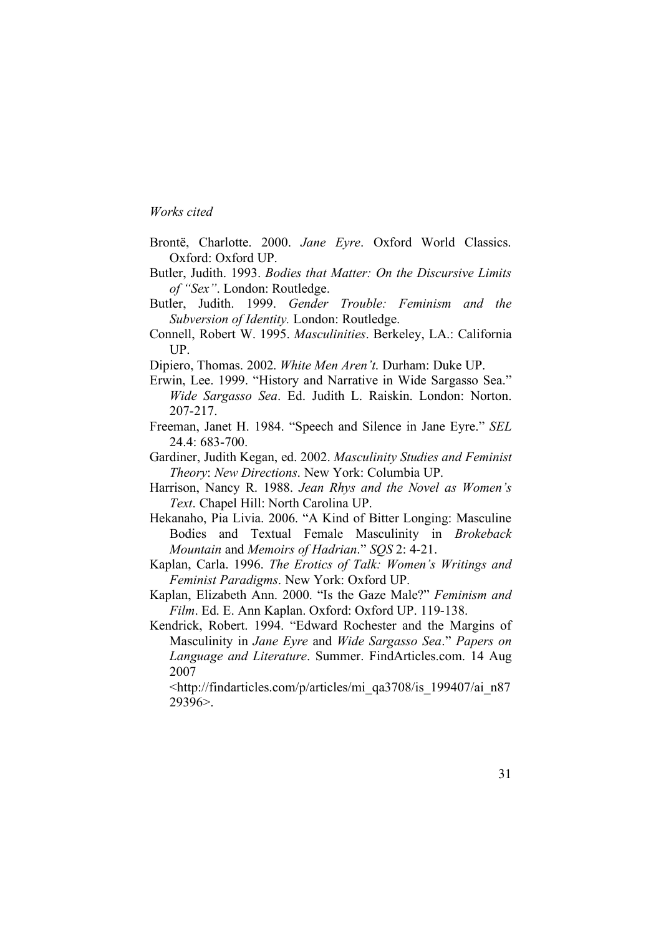#### *Works cited*

- Brontë, Charlotte. 2000. *Jane Eyre*. Oxford World Classics. Oxford: Oxford UP.
- Butler, Judith. 1993. *Bodies that Matter: On the Discursive Limits of "Sex"*. London: Routledge.
- Butler, Judith. 1999. *Gender Trouble: Feminism and the Subversion of Identity.* London: Routledge.
- Connell, Robert W. 1995. *Masculinities*. Berkeley, LA.: California UP.
- Dipiero, Thomas. 2002. *White Men Aren't*. Durham: Duke UP.
- Erwin, Lee. 1999. "History and Narrative in Wide Sargasso Sea." *Wide Sargasso Sea*. Ed. Judith L. Raiskin. London: Norton. 207-217.
- Freeman, Janet H. 1984. "Speech and Silence in Jane Eyre." *SEL* 24.4: 683-700.
- Gardiner, Judith Kegan, ed. 2002. *Masculinity Studies and Feminist Theory*: *New Directions*. New York: Columbia UP.
- Harrison, Nancy R. 1988. *Jean Rhys and the Novel as Women's Text*. Chapel Hill: North Carolina UP.
- Hekanaho, Pia Livia. 2006. "A Kind of Bitter Longing: Masculine Bodies and Textual Female Masculinity in *Brokeback Mountain* and *Memoirs of Hadrian*." *SQS* 2: 4-21.
- Kaplan, Carla. 1996. *The Erotics of Talk: Women's Writings and Feminist Paradigms*. New York: Oxford UP.
- Kaplan, Elizabeth Ann. 2000. "Is the Gaze Male?" *Feminism and Film*. Ed. E. Ann Kaplan. Oxford: Oxford UP. 119-138.
- Kendrick, Robert. 1994. "Edward Rochester and the Margins of Masculinity in *Jane Eyre* and *Wide Sargasso Sea*." *Papers on Language and Literature*. Summer. FindArticles.com. 14 Aug 2007
	- <http://findarticles.com/p/articles/mi\_qa3708/is\_199407/ai\_n87 29396>.